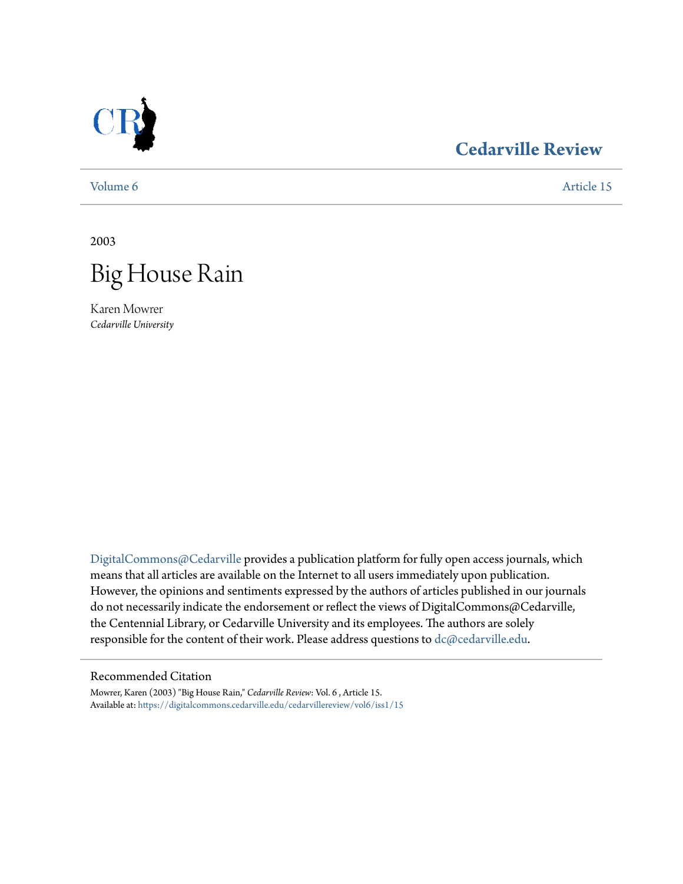

# **[Cedarville Review](https://digitalcommons.cedarville.edu/cedarvillereview?utm_source=digitalcommons.cedarville.edu%2Fcedarvillereview%2Fvol6%2Fiss1%2F15&utm_medium=PDF&utm_campaign=PDFCoverPages)**

[Volume 6](https://digitalcommons.cedarville.edu/cedarvillereview/vol6?utm_source=digitalcommons.cedarville.edu%2Fcedarvillereview%2Fvol6%2Fiss1%2F15&utm_medium=PDF&utm_campaign=PDFCoverPages) [Article 15](https://digitalcommons.cedarville.edu/cedarvillereview/vol6/iss1/15?utm_source=digitalcommons.cedarville.edu%2Fcedarvillereview%2Fvol6%2Fiss1%2F15&utm_medium=PDF&utm_campaign=PDFCoverPages)

2003



Karen Mowrer *Cedarville University*

[DigitalCommons@Cedarville](http://digitalcommons.cedarville.edu) provides a publication platform for fully open access journals, which means that all articles are available on the Internet to all users immediately upon publication. However, the opinions and sentiments expressed by the authors of articles published in our journals do not necessarily indicate the endorsement or reflect the views of DigitalCommons@Cedarville, the Centennial Library, or Cedarville University and its employees. The authors are solely responsible for the content of their work. Please address questions to [dc@cedarville.edu](mailto:dc@cedarville.edu).

### Recommended Citation

Mowrer, Karen (2003) "Big House Rain," *Cedarville Review*: Vol. 6 , Article 15. Available at: [https://digitalcommons.cedarville.edu/cedarvillereview/vol6/iss1/15](https://digitalcommons.cedarville.edu/cedarvillereview/vol6/iss1/15?utm_source=digitalcommons.cedarville.edu%2Fcedarvillereview%2Fvol6%2Fiss1%2F15&utm_medium=PDF&utm_campaign=PDFCoverPages)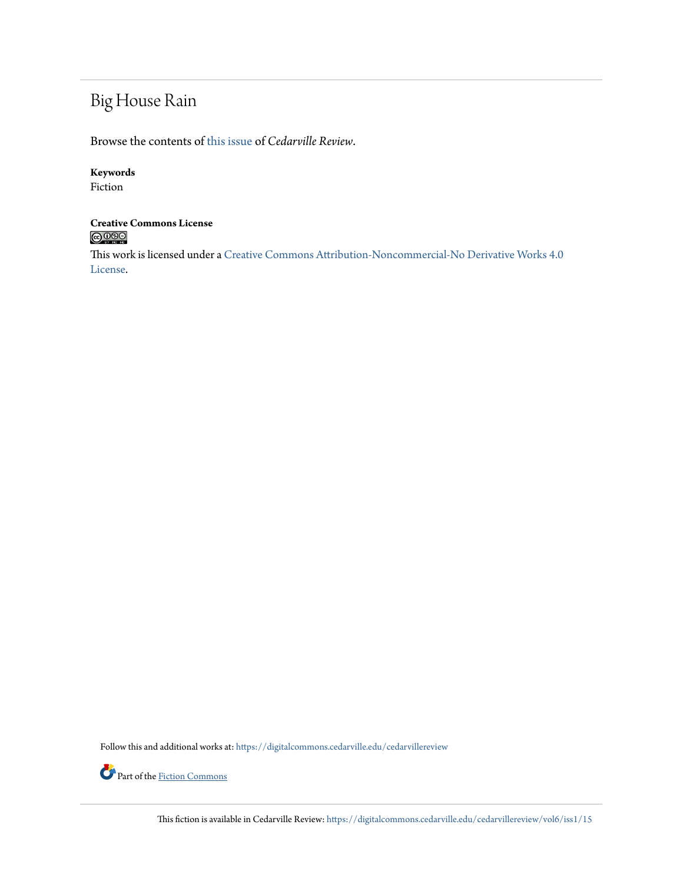# Big House Rain

Browse the contents of [this issue](https://digitalcommons.cedarville.edu/cedarvillereview/vol6/iss1) of *Cedarville Review*.

## **Keywords**

Fiction

# **Creative Commons License**<br> **C** 000

This work is licensed under a [Creative Commons Attribution-Noncommercial-No Derivative Works 4.0](http://creativecommons.org/licenses/by-nc-nd/4.0/) [License.](http://creativecommons.org/licenses/by-nc-nd/4.0/)

Follow this and additional works at: [https://digitalcommons.cedarville.edu/cedarvillereview](https://digitalcommons.cedarville.edu/cedarvillereview?utm_source=digitalcommons.cedarville.edu%2Fcedarvillereview%2Fvol6%2Fiss1%2F15&utm_medium=PDF&utm_campaign=PDFCoverPages)



Part of the [Fiction Commons](http://network.bepress.com/hgg/discipline/1151?utm_source=digitalcommons.cedarville.edu%2Fcedarvillereview%2Fvol6%2Fiss1%2F15&utm_medium=PDF&utm_campaign=PDFCoverPages)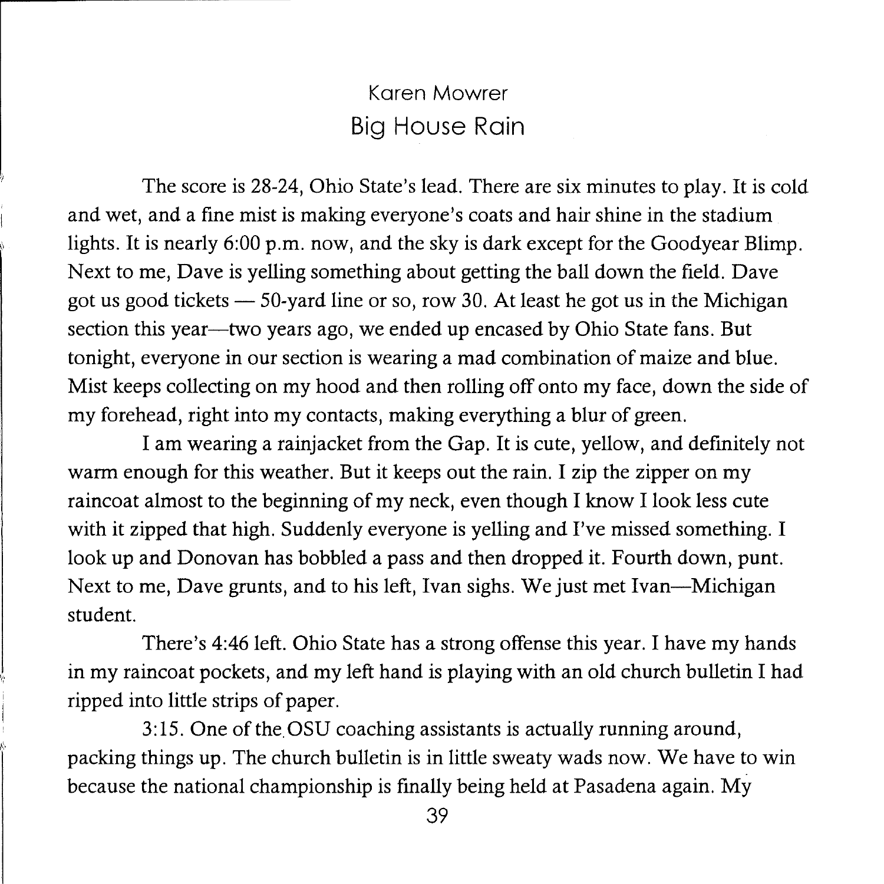## Karen Mowrer Big House Rain

The score is 28-24, Ohio State's lead. There are six minutes to play. It is cold and wet, and a fine mist is making everyone's coats and hair shine in the stadium lights. It is nearly 6:00 p.m. now, and the sky is dark except for the Goodyear Blimp. Next to me, Dave is yelling something about getting the ball down the field. Dave got us good tickets  $-50$ -yard line or so, row 30. At least he got us in the Michigan section this year—two years ago, we ended up encased by Ohio State fans. But tonight, everyone in our section is wearing a mad combination of maize and blue. Mist keeps collecting on my hood and then rolling off onto my face, down the side of my forehead, right into my contacts, making everything a blur of green.

I am wearing a rainjacket from the Gap. It is cute, yellow, and definitely not warm enough for this weather. But it keeps out the rain. I zip the zipper on my raincoat almost to the beginning of my neck, even though I know I look less cute with it zipped that high. Suddenly everyone is yelling and I've missed something. I look up and Donovan has bobbled a pass and then dropped it. Fourth down, punt. Next to me, Dave grunts, and to his left, Ivan sighs. We just met Ivan-Michigan student.

There's 4:46 left. Ohio State has a strong offense this year. I have my hands in my raincoat pockets, and my left hand is playing with an old church bulletin I had ripped into little strips of paper.

3: 15. One of the. OSU coaching assistants is actually running around, packing things up. The church bulletin is in little sweaty wads now. We have to win because the national championship is finally being held at Pasadena again. My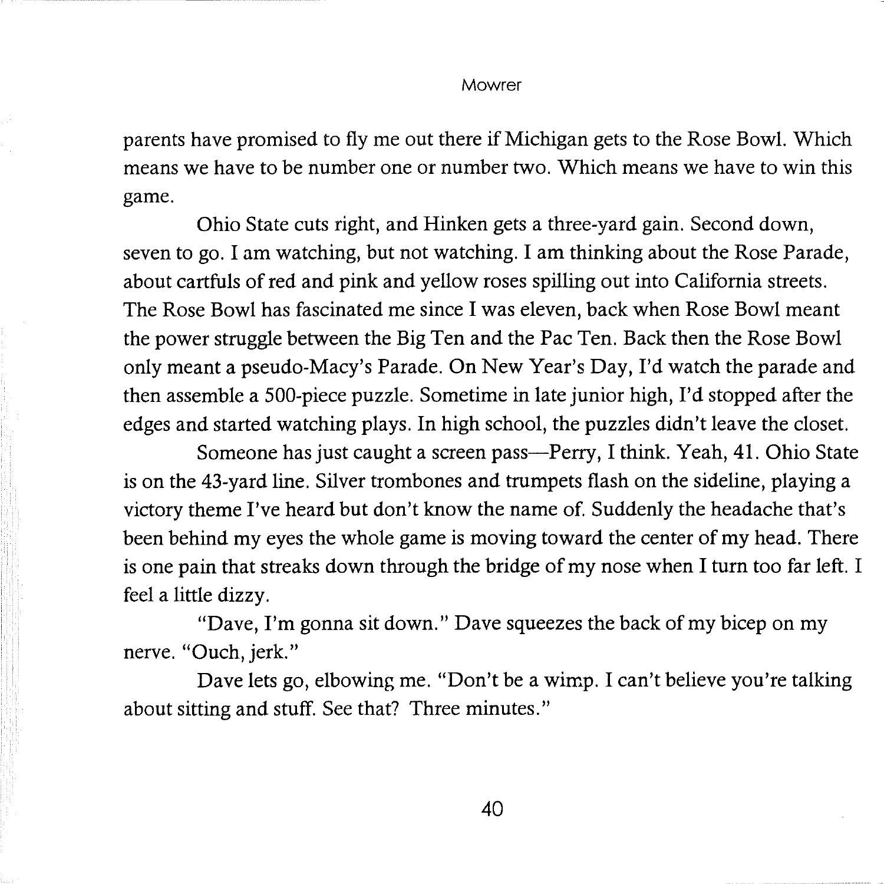parents have promised to fly me out there if Michigan gets to the Rose Bowl. Which means we have to be number one or number two. Which means we have to win this game.

Ohio State cuts right, and Hinken gets a three-yard gain. Second down, seven to go. I am watching, but not watching. I am thinking about the Rose Parade, about cartfuls of red and pink and yellow roses spilling out into California streets. The Rose Bowl has fascinated me since I was eleven, back when Rose Bowl meant the power struggle between the Big Ten and the Pac Ten. Back then the Rose Bowl only meant a pseudo-Macy's Parade. On New Year's Day, I'd watch the parade and then assemble a 500-piece puzzle. Sometime in late junior high, I'd stopped after the edges and started watching plays. In high school, the puzzles didn't leave the closet.

Someone has just caught a screen pass-Perry, I think. Yeah, 41. Ohio State is on the 43-yard line. Silver trombones and trumpets flash on the sideline, playing a victory theme I've heard but don't know the name of. Suddenly the headache that's been behind my eyes the whole game is moving toward the center of my head. There is one pain that streaks down through the bridge of my nose when I turn too far left. I feel a little dizzy.

"Dave, I'm gonna sit down." Dave squeezes the back of my bicep on my nerve. "Ouch, jerk."

Dave lets go, elbowing me. "Don't be a wimp. I can't believe you're talking about sitting and stuff. See that? Three minutes."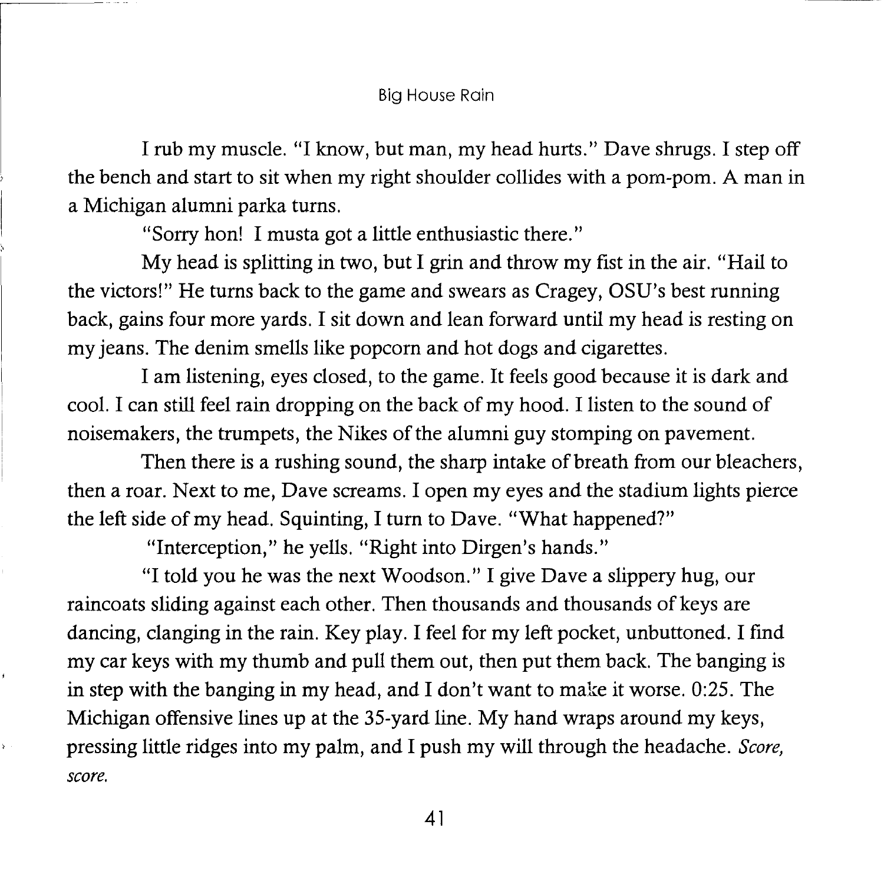#### Big House Rain

I rub my muscle. "I know, but man, my head hurts." Dave shrugs. I step off the bench and start to sit when my right shoulder collides with a porn-porn. A man in a Michigan alumni parka turns.

"Sorry hon! I musta got a little enthusiastic there."

My head is splitting in two, but I grin and throw my fist in the air. "Hail to the victors!" He turns back to the game and swears as Cragey, OSU's best running back, gains four more yards. I sit down and lean forward until my head is resting on my jeans. The denim smells like popcorn and hot dogs and cigarettes.

I am listening, eyes closed, to the game. It feels good because it is dark and cool. I can still feel rain dropping on the back of my hood. I listen to the sound of noisemakers, the trumpets, the Nikes of the alumni guy stomping on pavement.

Then there is a rushing sound, the sharp intake of breath from our bleachers, then a roar. Next to me, Dave screams. I open my eyes and the stadium lights pierce the left side of my head. Squinting, I turn to Dave. "What happened?"

"Interception," he yells. "Right into Dirgen's hands."

"I told you he was the next Woodson." I give Dave a slippery hug, our raincoats sliding against each other. Then thousands and thousands of keys are dancing, clanging in the rain. Key play. I feel for my left pocket, unbuttoned. I find my car keys with my thumb and pull them out, then put them back. The banging is in step with the banging in my head, and I don't want to make it worse. 0:25. The Michigan offensive lines up at the 35-yard line. My hand wraps around my keys, pressing little ridges into my palm, and I push my will through the headache. *Score, score.* 

41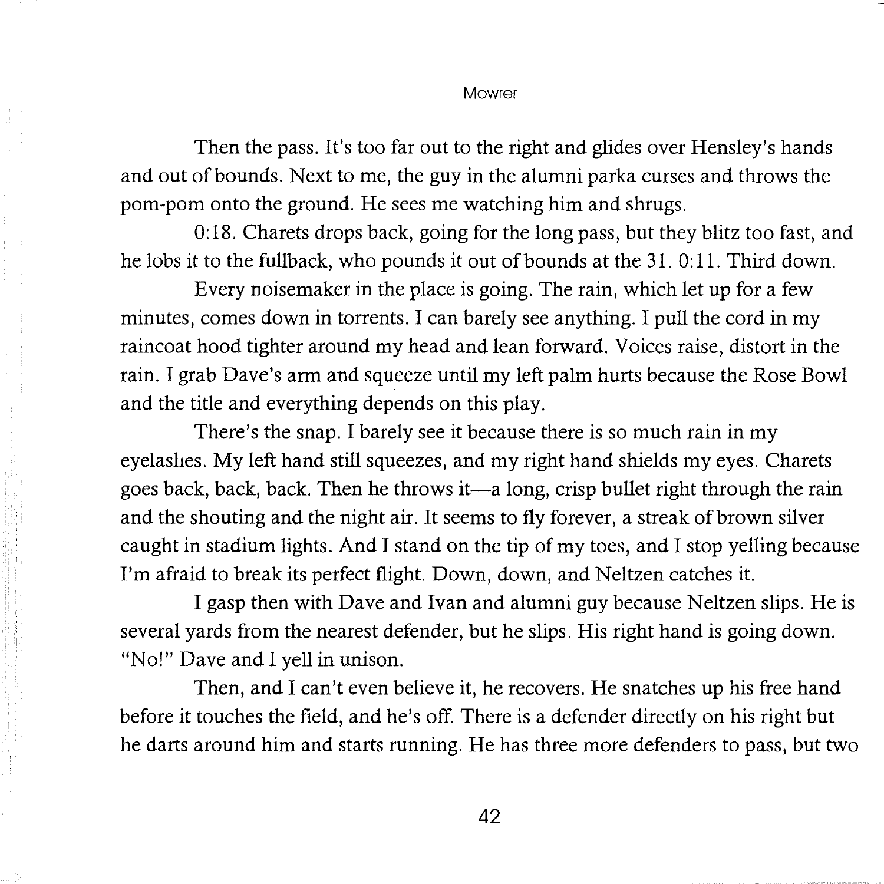Then the pass. It's too far out to the right and glides over Hensley's hands and out of bounds. Next to me, the guy in the alumni parka curses and throws the porn-porn onto the ground. He sees me watching him and shrugs.

0:18. Charets drops back, going for the long pass, but they blitz too fast, and he lobs it to the fullback, who pounds it out of bounds at the 31.0:11. Third down.

Every noisemaker in the place is going. The rain, which let up for a few minutes, comes down in torrents. I can barely see anything. I pull the cord in my raincoat hood tighter around my head and lean forward. Voices raise, distort in the rain. I grab Dave's arm and squeeze until my left palm hurts because the Rose Bowl and the title and everything depends on this play.

There's the snap. I barely see it because there is so much rain in my eyelashes. My left hand still squeezes, and my right hand shields my eyes. Charets goes back, back, back. Then he throws it—a long, crisp bullet right through the rain and the shouting and the night air. It seems to fly forever, a streak of brown silver caught in stadium lights. And I stand on the tip of my toes, and I stop yelling because I'm afraid to break its perfect flight. Down, down, and Neltzen catches it.

I gasp then with Dave and Ivan and alumni guy because Neltzen slips. He is several yards from the nearest defender, but he slips. His right hand is going down. "No!" Dave and I yell in unison.

Then, and I can't even believe it, he recovers. He snatches up his free hand before it touches the field, and he's off. There is a defender directly on his right but he darts around him and starts running. He has three more defenders to pass, but two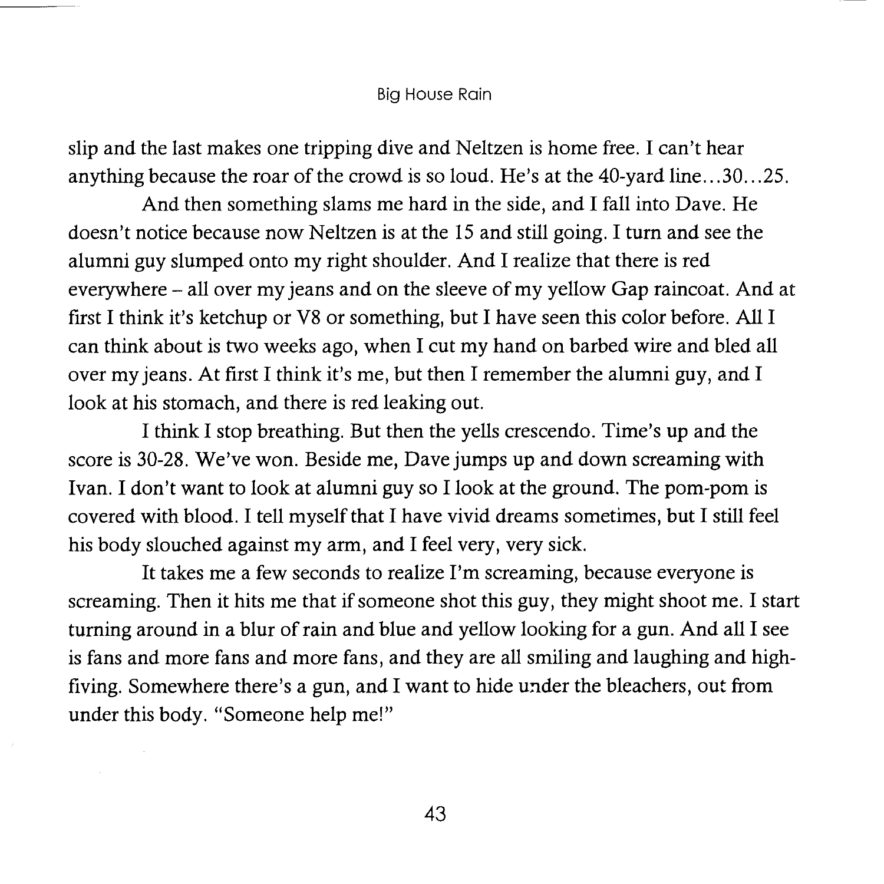#### Big House Rain

slip and the last makes one tripping dive and Neltzen is home free. I can't hear anything because the roar of the crowd is so loud. He's at the 40-yard line ... 30 ... 25.

And then something slams me hard in the side, and I fall into Dave. He doesn't notice because now Neltzen is at the 15 and still going. I tum and see the alumni guy slumped onto my right shoulder. And I realize that there is red everywhere - all over my jeans and on the sleeve of my yellow Gap raincoat. And at first I think it's ketchup or V8 or something, but I have seen this color before. All I can think about is two weeks ago, when I cut my hand on barbed wire and bled all over my jeans. At first I think it's me, but then I remember the alumni guy, and I look at his stomach, and there is red leaking out.

I think I stop breathing. But then the yells crescendo. Time's up and the score is 30-28. We've won. Beside me, Dave jumps up and down screaming with Ivan. I don't want to look at alumni guy so I look at the ground. The pom-pom is covered with blood. I tell myself that I have vivid dreams sometimes, but I still feel his body slouched against my arm, and I feel very, very sick.

It takes me a few seconds to realize I'm screaming, because everyone is screaming. Then it hits me that if someone shot this guy, they might shoot me. I start turning around in a blur of rain and blue and yellow looking for a gun. And all I see is fans and more fans and more fans, and they are all smiling and laughing and highfiving. Somewhere there's a gun, and I want to hide under the bleachers, out from under this body. "Someone help me!"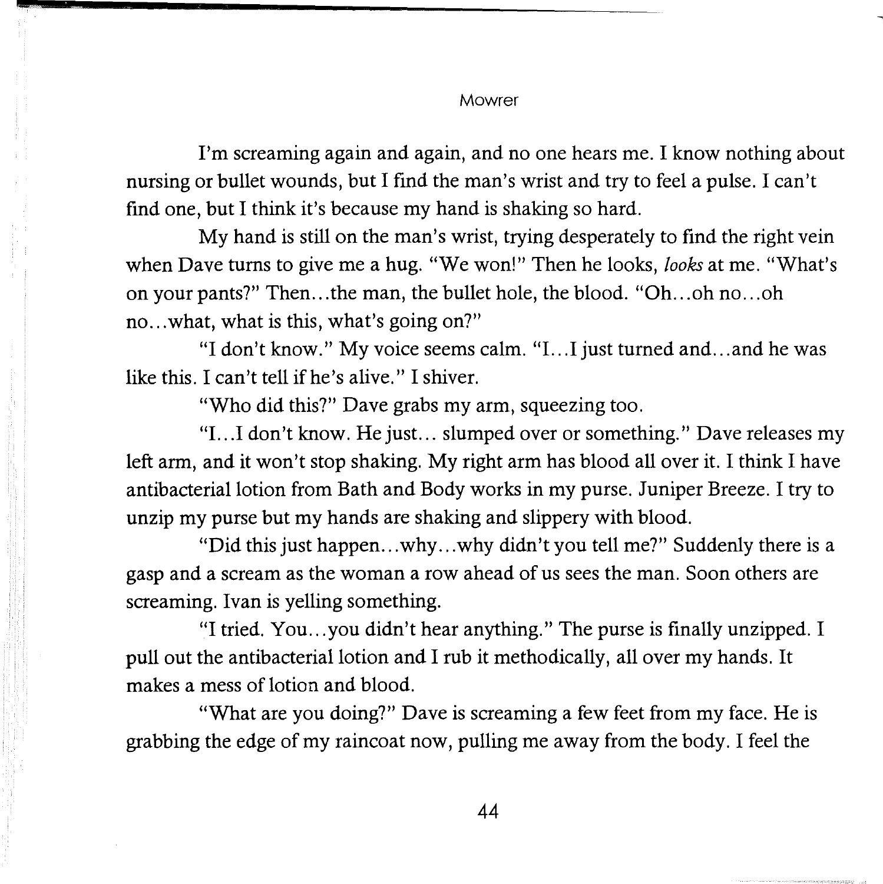I'm screaming again and again, and no one hears me. I know nothing about nursing or bullet wounds, but I find the man's wrist and try to feel a pulse. I can't find one, but I think it's because my hand is shaking so hard.

My hand is still on the man's wrist, trying desperately to find the right vein when Dave turns to give me a hug. "We won!" Then he looks, *looks* at me. "What's on your pants?" Then... the man, the bullet hole, the blood. "Oh...oh no...oh no...what, what is this, what's going on?"

"I don't know." My voice seems calm. "I. . .I just turned and ... and he was like this. I can't tell if he's alive." I shiver.

"Who did this?" Dave grabs my arm, squeezing too.

"I. . .I don't know. He just ... slumped over or something." Dave releases my left arm, and it won't stop shaking. My right arm has blood all over it. I think I have antibacterial lotion from Bath and Body works in my purse. Juniper Breeze. I try to unzip my purse but my hands are shaking and slippery with blood.

"Did this just happen ... why ... why didn't you tell me?" Suddenly there is a gasp and a scream as the woman a row ahead of us sees the man. Soon others are screaming. Ivan is yelling something.

"I tried. You ... you didn't hear anything." The purse is finally unzipped. I pull out the antibacterial lotion and I rub it methodically, all over my hands. It makes a mess of lotion and blood.

"What are you doing?" Dave is screaming a few feet from my face. He is grabbing the edge of my raincoat now, pulling me away from the body. I feel the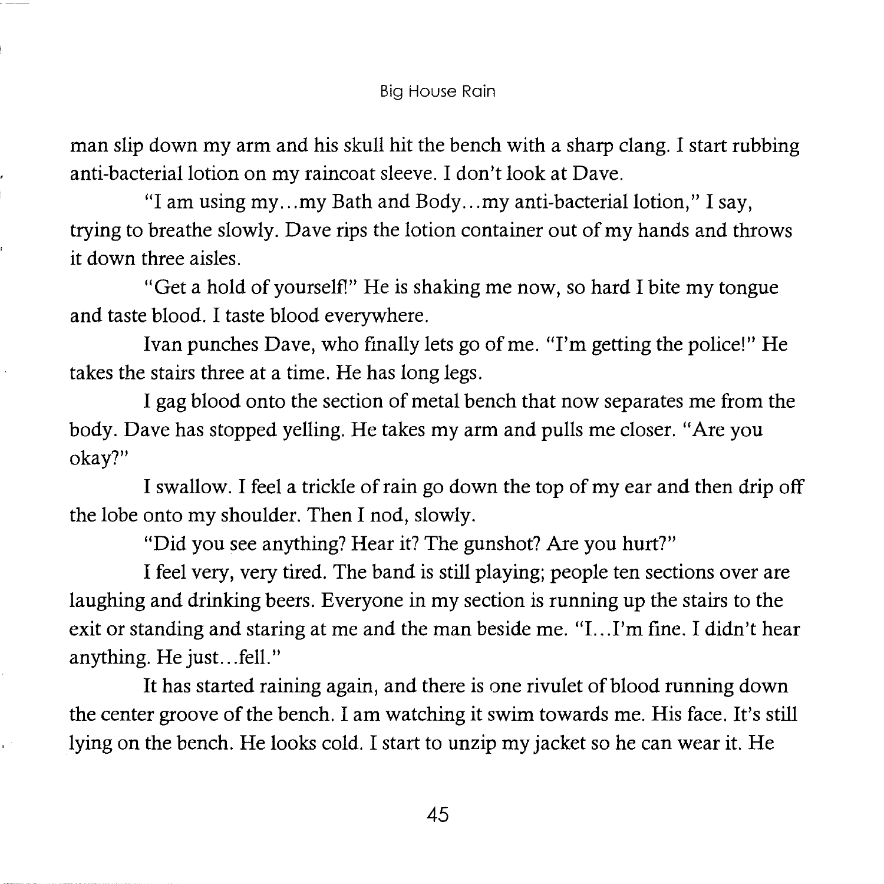man slip down my arm and his skull hit the bench with a sharp clang. I start rubbing anti-bacterial lotion on my raincoat sleeve. I don't look at Dave.

"I am using my ... my Bath and Body ... my anti-bacterial lotion,'' I say, trying to breathe slowly. Dave rips the lotion container out of my hands and throws it down three aisles.

"Get a hold of yourself!" He is shaking me now, so hard I bite my tongue and taste blood. I taste blood everywhere.

Ivan punches Dave, who finally lets go of me. "I'm getting the police!" He takes the stairs three at a time. He has long legs.

I gag blood onto the section of metal bench that now separates me from the body. Dave has stopped yelling. He takes my arm and pulls me closer. "Are you okay?"

I swallow. I feel a trickle of rain go down the top of my ear and then drip off the lobe onto my shoulder. Then I nod, slowly.

"Did you see anything? Hear it? The gunshot? Are you hurt?"

I feel very, very tired. The band is still playing; people ten sections over are laughing and drinking beers. Everyone in my section is running up the stairs to the exit or standing and staring at me and the man beside me. "I...I'm fine. I didn't hear anything. He just... fell."

It has started raining again, and there is one rivulet of blood running down the center groove of the bench. I am watching it swim towards me. His face. It's still lying on the bench. He looks cold. I start to unzip my jacket so he can wear it. He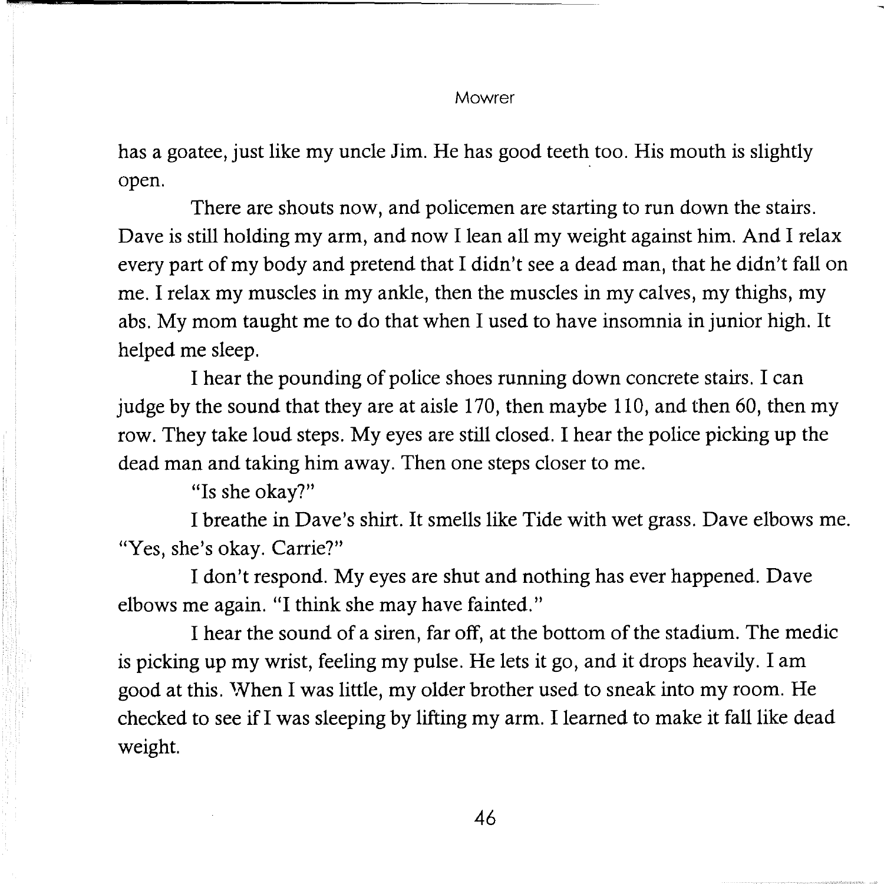has a goatee, just like my uncle Jim. He has good teeth too. His mouth is slightly open.

There are shouts now, and policemen are starting to run down the stairs. Dave is still holding my arm, and now I lean all my weight against him. And I relax every part of my body and pretend that I didn't see a dead man, that he didn't fall on me. I relax my muscles in my ankle, then the muscles in my calves, my thighs, my abs. My mom taught me to do that when I used to have insomnia in junior high. It helped me sleep.

I hear the pounding of police shoes running down concrete stairs. I can judge by the sound that they are at aisle 170, then maybe 110, and then 60, then my row. They take loud steps. My eyes are still closed. I hear the police picking up the dead man and taking him away. Then one steps closer to me.

"Is she okay?"

I breathe in Dave's shirt. It smells like Tide with wet grass. Dave elbows me. "Yes, she's okay. Carrie?"

I don't respond. My eyes are shut and nothing has ever happened. Dave elbows me again. "I think she may have fainted."

I hear the sound of a siren, far off, at the bottom of the stadium. The medic is picking up my wrist, feeling my pulse. He lets it go, and it drops heavily. I am good at this. 'Nhen I was little, my older brother used to sneak into my room. He checked to see if I was sleeping by lifting my arm. I learned to make it fall like dead weight.

46